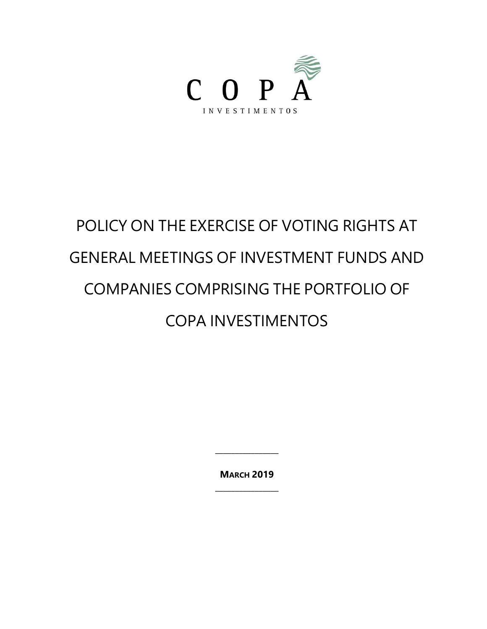

# POLICY ON THE EXERCISE OF VOTING RIGHTS AT GENERAL MEETINGS OF INVESTMENT FUNDS AND COMPANIES COMPRISING THE PORTFOLIO OF COPA INVESTIMENTOS

**MARCH 2019 \_\_\_\_\_\_\_\_\_\_\_\_\_\_\_\_**

**\_\_\_\_\_\_\_\_\_\_\_\_\_\_\_\_**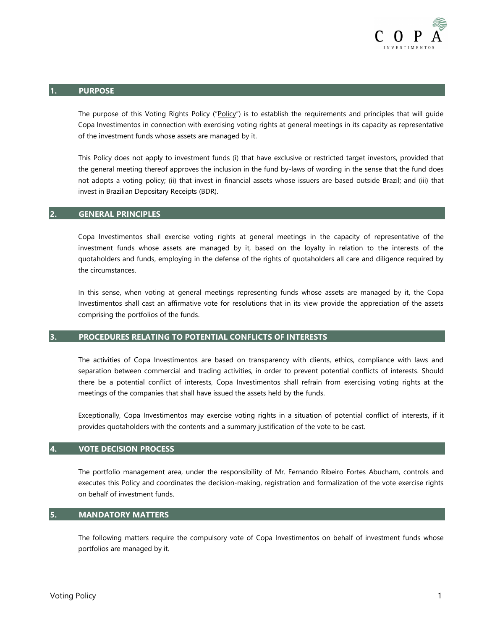

#### **1. PURPOSE**

The purpose of this Voting Rights Policy ("Policy") is to establish the requirements and principles that will guide Copa Investimentos in connection with exercising voting rights at general meetings in its capacity as representative of the investment funds whose assets are managed by it.

This Policy does not apply to investment funds (i) that have exclusive or restricted target investors, provided that the general meeting thereof approves the inclusion in the fund by-laws of wording in the sense that the fund does not adopts a voting policy; (ii) that invest in financial assets whose issuers are based outside Brazil; and (iii) that invest in Brazilian Depositary Receipts (BDR).

## **2. GENERAL PRINCIPLES**

Copa Investimentos shall exercise voting rights at general meetings in the capacity of representative of the investment funds whose assets are managed by it, based on the loyalty in relation to the interests of the quotaholders and funds, employing in the defense of the rights of quotaholders all care and diligence required by the circumstances.

In this sense, when voting at general meetings representing funds whose assets are managed by it, the Copa Investimentos shall cast an affirmative vote for resolutions that in its view provide the appreciation of the assets comprising the portfolios of the funds.

## **3. PROCEDURES RELATING TO POTENTIAL CONFLICTS OF INTERESTS**

The activities of Copa Investimentos are based on transparency with clients, ethics, compliance with laws and separation between commercial and trading activities, in order to prevent potential conflicts of interests. Should there be a potential conflict of interests, Copa Investimentos shall refrain from exercising voting rights at the meetings of the companies that shall have issued the assets held by the funds.

Exceptionally, Copa Investimentos may exercise voting rights in a situation of potential conflict of interests, if it provides quotaholders with the contents and a summary justification of the vote to be cast.

#### **4. VOTE DECISION PROCESS**

The portfolio management area, under the responsibility of Mr. Fernando Ribeiro Fortes Abucham, controls and executes this Policy and coordinates the decision-making, registration and formalization of the vote exercise rights on behalf of investment funds.

## **5. MANDATORY MATTERS**

The following matters require the compulsory vote of Copa Investimentos on behalf of investment funds whose portfolios are managed by it.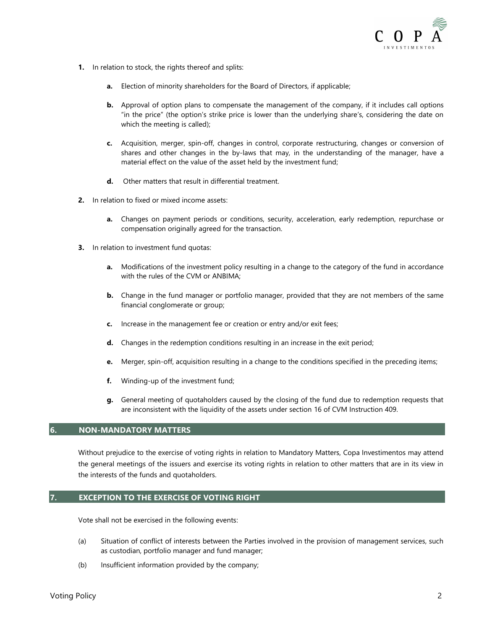

- **1.** In relation to stock, the rights thereof and splits:
	- **a.** Election of minority shareholders for the Board of Directors, if applicable;
	- **b.** Approval of option plans to compensate the management of the company, if it includes call options "in the price" (the option's strike price is lower than the underlying share's, considering the date on which the meeting is called);
	- **c.** Acquisition, merger, spin-off, changes in control, corporate restructuring, changes or conversion of shares and other changes in the by-laws that may, in the understanding of the manager, have a material effect on the value of the asset held by the investment fund;
	- **d.** Other matters that result in differential treatment.
- **2.** In relation to fixed or mixed income assets:
	- **a.** Changes on payment periods or conditions, security, acceleration, early redemption, repurchase or compensation originally agreed for the transaction.
- **3.** In relation to investment fund quotas:
	- **a.** Modifications of the investment policy resulting in a change to the category of the fund in accordance with the rules of the CVM or ANBIMA;
	- **b.** Change in the fund manager or portfolio manager, provided that they are not members of the same financial conglomerate or group;
	- **c.** Increase in the management fee or creation or entry and/or exit fees;
	- **d.** Changes in the redemption conditions resulting in an increase in the exit period;
	- **e.** Merger, spin-off, acquisition resulting in a change to the conditions specified in the preceding items;
	- **f.** Winding-up of the investment fund;
	- **g.** General meeting of quotaholders caused by the closing of the fund due to redemption requests that are inconsistent with the liquidity of the assets under section 16 of CVM Instruction 409.

## **6. NON-MANDATORY MATTERS**

Without prejudice to the exercise of voting rights in relation to Mandatory Matters, Copa Investimentos may attend the general meetings of the issuers and exercise its voting rights in relation to other matters that are in its view in the interests of the funds and quotaholders.

## **7. EXCEPTION TO THE EXERCISE OF VOTING RIGHT**

Vote shall not be exercised in the following events:

- (a) Situation of conflict of interests between the Parties involved in the provision of management services, such as custodian, portfolio manager and fund manager;
- (b) Insufficient information provided by the company;